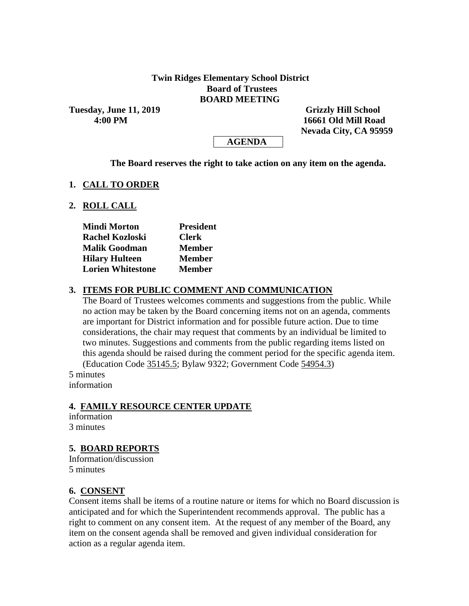### **Twin Ridges Elementary School District Board of Trustees BOARD MEETING**

**Tuesday, June 11, 2019 Grizzly Hill School** 

 **4:00 PM 16661 Old Mill Road Nevada City, CA 95959**



#### **The Board reserves the right to take action on any item on the agenda.**

#### **1. CALL TO ORDER**

### **2. ROLL CALL**

| <b>Mindi Morton</b>      | <b>President</b> |
|--------------------------|------------------|
| <b>Rachel Kozloski</b>   | <b>Clerk</b>     |
| <b>Malik Goodman</b>     | <b>Member</b>    |
| <b>Hilary Hulteen</b>    | <b>Member</b>    |
| <b>Lorien Whitestone</b> | <b>Member</b>    |

### **3. ITEMS FOR PUBLIC COMMENT AND COMMUNICATION**

The Board of Trustees welcomes comments and suggestions from the public. While no action may be taken by the Board concerning items not on an agenda, comments are important for District information and for possible future action. Due to time considerations, the chair may request that comments by an individual be limited to two minutes. Suggestions and comments from the public regarding items listed on this agenda should be raised during the comment period for the specific agenda item. (Education Code 35145.5; Bylaw 9322; Government Code 54954.3)

5 minutes information

# **4. FAMILY RESOURCE CENTER UPDATE**

information 3 minutes

# **5. BOARD REPORTS**

Information/discussion 5 minutes

#### **6. CONSENT**

Consent items shall be items of a routine nature or items for which no Board discussion is anticipated and for which the Superintendent recommends approval. The public has a right to comment on any consent item. At the request of any member of the Board, any item on the consent agenda shall be removed and given individual consideration for action as a regular agenda item.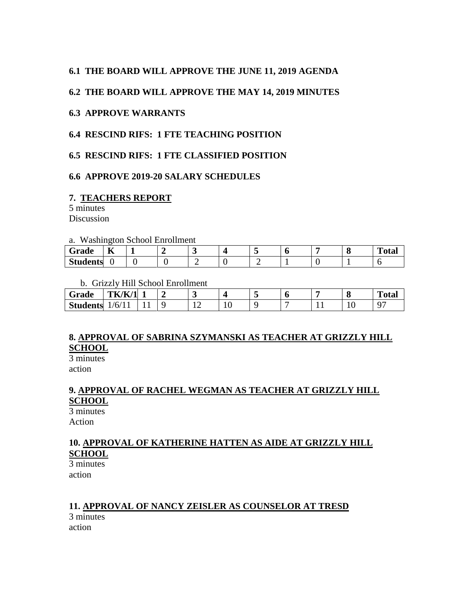### **6.1 THE BOARD WILL APPROVE THE JUNE 11, 2019 AGENDA**

#### **6.2 THE BOARD WILL APPROVE THE MAY 14, 2019 MINUTES**

#### **6.3 APPROVE WARRANTS**

### **6.4 RESCIND RIFS: 1 FTE TEACHING POSITION**

### **6.5 RESCIND RIFS: 1 FTE CLASSIFIED POSITION**

#### **6.6 APPROVE 2019-20 SALARY SCHEDULES**

#### **7. TEACHERS REPORT**

5 minutes **Discussion** 

#### a. Washington School Enrollment

| $- - -$<br>Grade | $-$<br>л |  |  |  |  | m<br>vıaı |
|------------------|----------|--|--|--|--|-----------|
| <b>Students</b>  |          |  |  |  |  |           |

#### b. Grizzly Hill School Enrollment

| Grade           | TK/K/1                       |     |    |         |   | о   | <b>Total</b> |
|-----------------|------------------------------|-----|----|---------|---|-----|--------------|
| <b>Students</b> | $\sigma'$<br>. .<br><b>.</b> | . . | -- | $\cdot$ | - | 1 U | ∩⊓           |

# **8. APPROVAL OF SABRINA SZYMANSKI AS TEACHER AT GRIZZLY HILL SCHOOL**

3 minutes action

# **9. APPROVAL OF RACHEL WEGMAN AS TEACHER AT GRIZZLY HILL SCHOOL**

3 minutes Action

# **10. APPROVAL OF KATHERINE HATTEN AS AIDE AT GRIZZLY HILL SCHOOL**

3 minutes action

# **11. APPROVAL OF NANCY ZEISLER AS COUNSELOR AT TRESD**

3 minutes action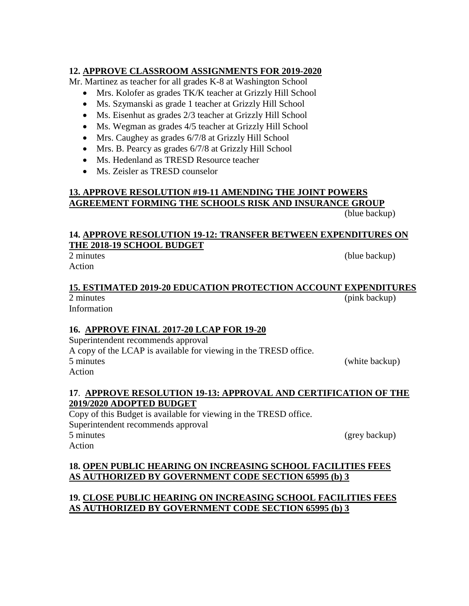# **12. APPROVE CLASSROOM ASSIGNMENTS FOR 2019-2020**

Mr. Martinez as teacher for all grades K-8 at Washington School

- Mrs. Kolofer as grades TK/K teacher at Grizzly Hill School
- Ms. Szymanski as grade 1 teacher at Grizzly Hill School
- Ms. Eisenhut as grades 2/3 teacher at Grizzly Hill School
- Ms. Wegman as grades 4/5 teacher at Grizzly Hill School
- Mrs. Caughey as grades 6/7/8 at Grizzly Hill School
- Mrs. B. Pearcy as grades  $6/7/8$  at Grizzly Hill School
- Ms. Hedenland as TRESD Resource teacher
- Ms. Zeisler as TRESD counselor

# **13. APPROVE RESOLUTION #19-11 AMENDING THE JOINT POWERS AGREEMENT FORMING THE SCHOOLS RISK AND INSURANCE GROUP**

(blue backup)

# **14. APPROVE RESOLUTION 19-12: TRANSFER BETWEEN EXPENDITURES ON THE 2018-19 SCHOOL BUDGET**

2 minutes (blue backup) Action

#### **15. ESTIMATED 2019-20 EDUCATION PROTECTION ACCOUNT EXPENDITURES**  2 minutes (pink backup)

Information

# **16. APPROVE FINAL 2017-20 LCAP FOR 19-20**

Superintendent recommends approval A copy of the LCAP is available for viewing in the TRESD office. 5 minutes (white backup) Action

### **17**. **APPROVE RESOLUTION 19-13: APPROVAL AND CERTIFICATION OF THE 2019/2020 ADOPTED BUDGET**

Copy of this Budget is available for viewing in the TRESD office. Superintendent recommends approval 5 minutes (grey backup) Action

# **18. OPEN PUBLIC HEARING ON INCREASING SCHOOL FACILITIES FEES AS AUTHORIZED BY GOVERNMENT CODE SECTION 65995 (b) 3**

# **19. CLOSE PUBLIC HEARING ON INCREASING SCHOOL FACILITIES FEES AS AUTHORIZED BY GOVERNMENT CODE SECTION 65995 (b) 3**